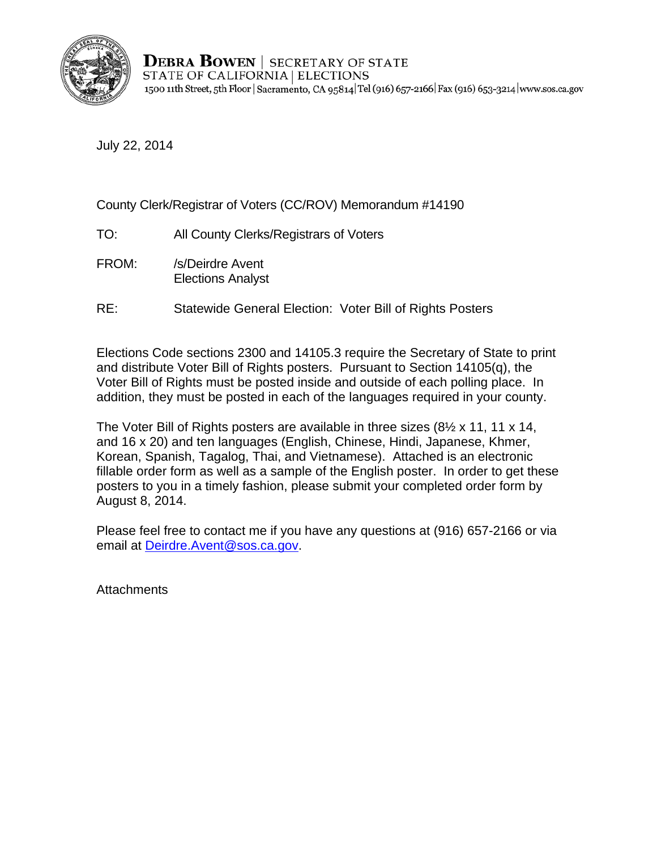

**DEBRA BOWEN** | SECRETARY OF STATE STATE OF CALIFORNIA | ELECTIONS 1500 11th Street, 5th Floor | Sacramento, CA 95814 Tel (916) 657-2166 | Fax (916) 653-3214 | www.sos.ca.gov

July 22, 2014

### County Clerk/Registrar of Voters (CC/ROV) Memorandum #14190

- TO: All County Clerks/Registrars of Voters
- FROM: /s/Deirdre Avent Elections Analyst
- RE: Statewide General Election: Voter Bill of Rights Posters

Elections Code sections 2300 and 14105.3 require the Secretary of State to print and distribute Voter Bill of Rights posters. Pursuant to Section 14105(q), the Voter Bill of Rights must be posted inside and outside of each polling place. In addition, they must be posted in each of the languages required in your county.

August 8, 2014. The Voter Bill of Rights posters are available in three sizes (8½ x 11, 11 x 14, and 16 x 20) and ten languages (English, Chinese, Hindi, Japanese, Khmer, Korean, Spanish, Tagalog, Thai, and Vietnamese). Attached is an electronic fillable order form as well as a sample of the English poster. In order to get these posters to you in a timely fashion, please submit your completed order form by

Please feel free to contact me if you have any questions at (916) 657-2166 or via email at Deirdre.Avent@sos.ca.gov.

**Attachments**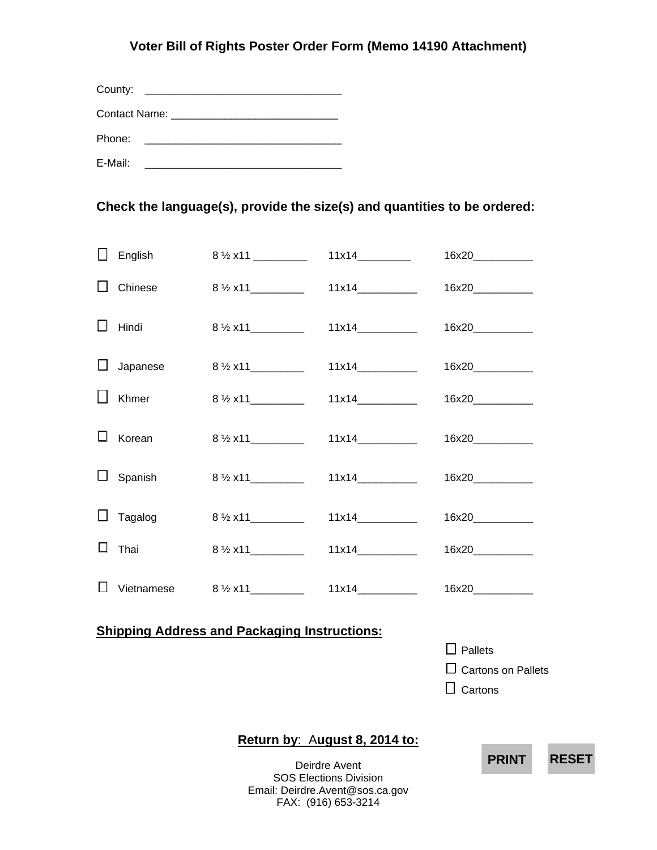#### **Voter Bill of Rights Poster Order Form (Memo 14190 Attachment)**

| Phone:  | <u> 1980 - Andrea Andrew Maria (h. 1980).</u> |  |  |  |  |
|---------|-----------------------------------------------|--|--|--|--|
| E-Mail: |                                               |  |  |  |  |

### **Check the language(s), provide the size(s) and quantities to be ordered:**

|                                                     |          | <b>DDINT</b><br>E            |       |                                                               |  |  |
|-----------------------------------------------------|----------|------------------------------|-------|---------------------------------------------------------------|--|--|
|                                                     |          |                              |       | $\Box$ Pallets<br>$\Box$ Cartons on Pallets<br>$\Box$ Cartons |  |  |
| <b>Shipping Address and Packaging Instructions:</b> |          |                              |       |                                                               |  |  |
| $\perp$                                             |          |                              |       | 16x20_____________                                            |  |  |
| Ц                                                   | Thai     | $8\frac{1}{2}$ x11__________ | 11x14 | 16x20_____________                                            |  |  |
|                                                     | Tagalog  |                              |       |                                                               |  |  |
| ⊔                                                   | Spanish  | $8\frac{1}{2}$ x11           |       |                                                               |  |  |
|                                                     | Korean   | $8\frac{1}{2}$ x11           | 11x14 | 16x20_____________                                            |  |  |
|                                                     | Khmer    | $8\frac{1}{2}x11$            |       | 16x20____________                                             |  |  |
| $\perp$                                             | Japanese | $8\frac{1}{2}$ x11           | 11x14 | 16x20_____________                                            |  |  |
| LΙ                                                  | Hindi    |                              | 11x14 | 16x20_____________                                            |  |  |
|                                                     | Chinese  | $8\frac{1}{2}$ x11           | 11x14 | 16x20____________                                             |  |  |
| l I                                                 | English  | $8\frac{1}{2}$ x11 _________ |       | 16x20                                                         |  |  |

Deirdre Avent SOS Elections Division Email: Deirdre.Avent@sos.ca.gov FAX: (916) 653-3214